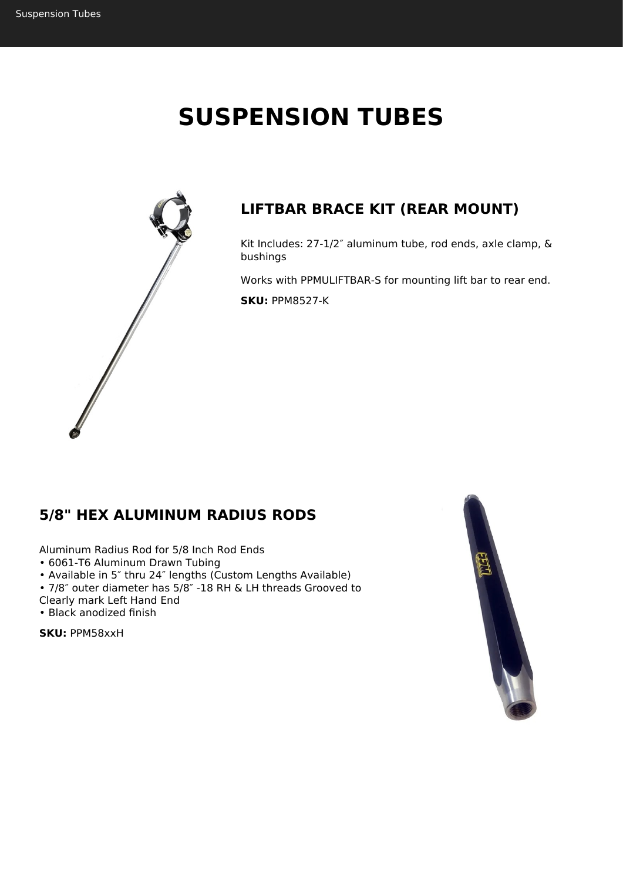# **SUSPENSION TUBES**



## **LIFTBAR BRACE KIT (REAR MOUNT)**

Kit Includes: 27-1/2″ aluminum tube, rod ends, axle clamp, & bushings

Works with PPMULIFTBAR-S for mounting lift bar to rear end. **SKU:** PPM8527-K

## **5/8" HEX ALUMINUM RADIUS RODS**

Aluminum Radius Rod for 5/8 Inch Rod Ends

• 6061-T6 Aluminum Drawn Tubing

• Available in 5″ thru 24″ lengths (Custom Lengths Available)

• 7/8″ outer diameter has 5/8″ -18 RH & LH threads Grooved to

Clearly mark Left Hand End

• Black anodized finish

**SKU:** PPM58xxH

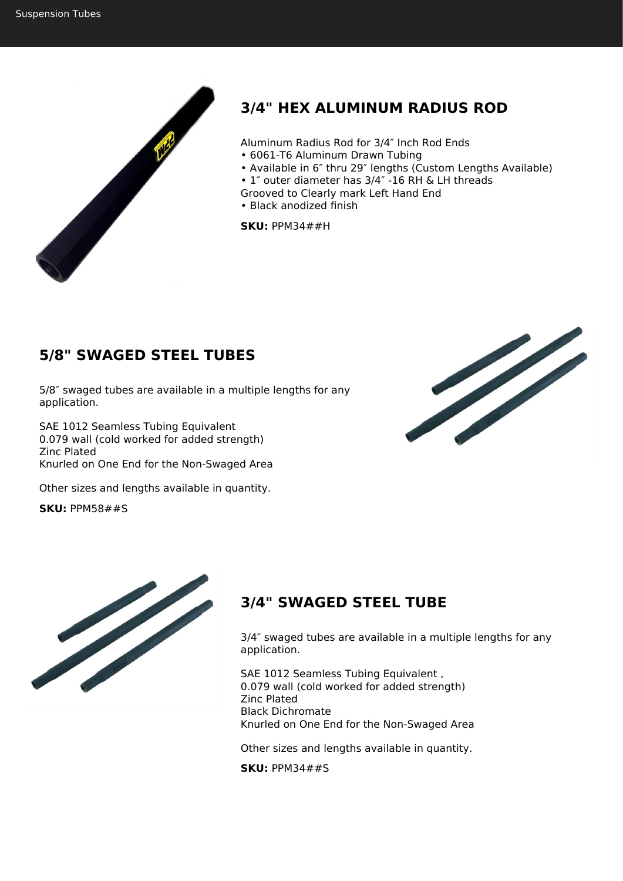

# **3/4" HEX ALUMINUM RADIUS ROD**

Aluminum Radius Rod for 3/4″ Inch Rod Ends

- 6061-T6 Aluminum Drawn Tubing
- Available in 6″ thru 29″ lengths (Custom Lengths Available)
- 1″ outer diameter has 3/4″ -16 RH & LH threads
- Grooved to Clearly mark Left Hand End
- Black anodized finish

**SKU:** PPM34##H

## **5/8" SWAGED STEEL TUBES**

5/8″ swaged tubes are available in a multiple lengths for any application.

SAE 1012 Seamless Tubing Equivalent 0.079 wall (cold worked for added strength) Zinc Plated Knurled on One End for the Non-Swaged Area

Other sizes and lengths available in quantity.

**SKU:** PPM58##S





## **3/4" SWAGED STEEL TUBE**

3/4″ swaged tubes are available in a multiple lengths for any application.

SAE 1012 Seamless Tubing Equivalent , 0.079 wall (cold worked for added strength) Zinc Plated Black Dichromate Knurled on One End for the Non-Swaged Area

Other sizes and lengths available in quantity.

**SKU:** PPM34##S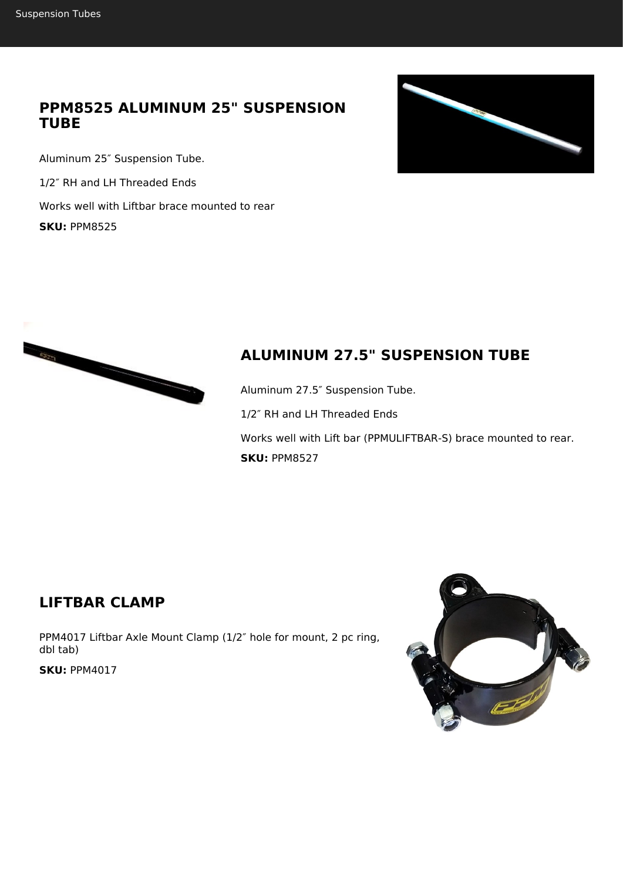#### **PPM8525 ALUMINUM 25" SUSPENSION TUBE**

Aluminum 25″ Suspension Tube. 1/2″ RH and LH Threaded Ends Works well with Liftbar brace mounted to rear **SKU:** PPM8525





# **ALUMINUM 27.5" SUSPENSION TUBE**

Aluminum 27.5″ Suspension Tube. 1/2″ RH and LH Threaded Ends Works well with Lift bar (PPMULIFTBAR-S) brace mounted to rear. **SKU:** PPM8527

#### **LIFTBAR CLAMP**

PPM4017 Liftbar Axle Mount Clamp (1/2″ hole for mount, 2 pc ring, dbl tab)

**SKU:** PPM4017

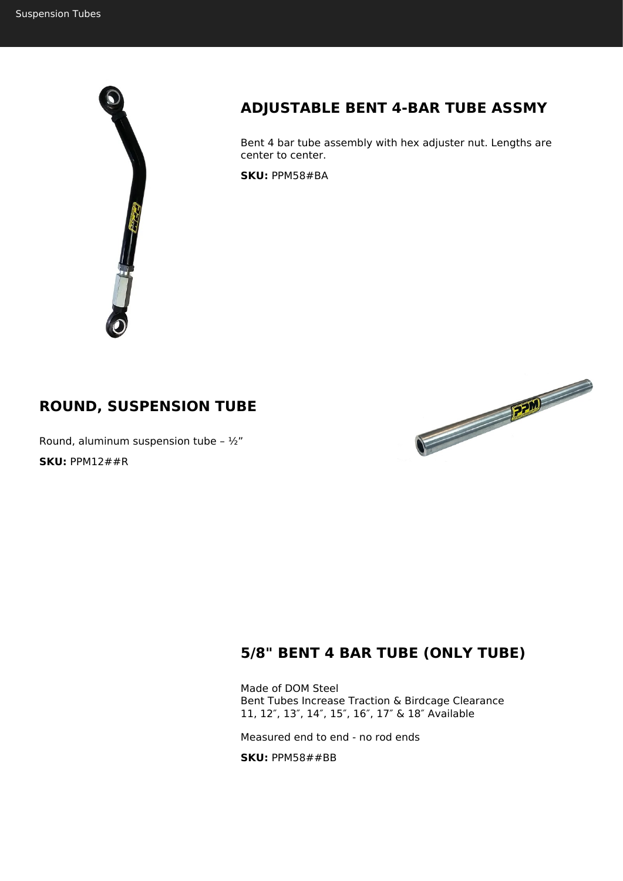

## **ADJUSTABLE BENT 4-BAR TUBE ASSMY**

Bent 4 bar tube assembly with hex adjuster nut. Lengths are center to center.

**SKU:** PPM58#BA

#### **ROUND, SUSPENSION TUBE**

Round, aluminum suspension tube -  $\frac{1}{2}$ " **SKU:** PPM12##R



#### **5/8" BENT 4 BAR TUBE (ONLY TUBE)**

Made of DOM Steel Bent Tubes Increase Traction & Birdcage Clearance 11, 12″, 13″, 14″, 15″, 16″, 17″ & 18″ Available

Measured end to end - no rod ends

**SKU:** PPM58##BB